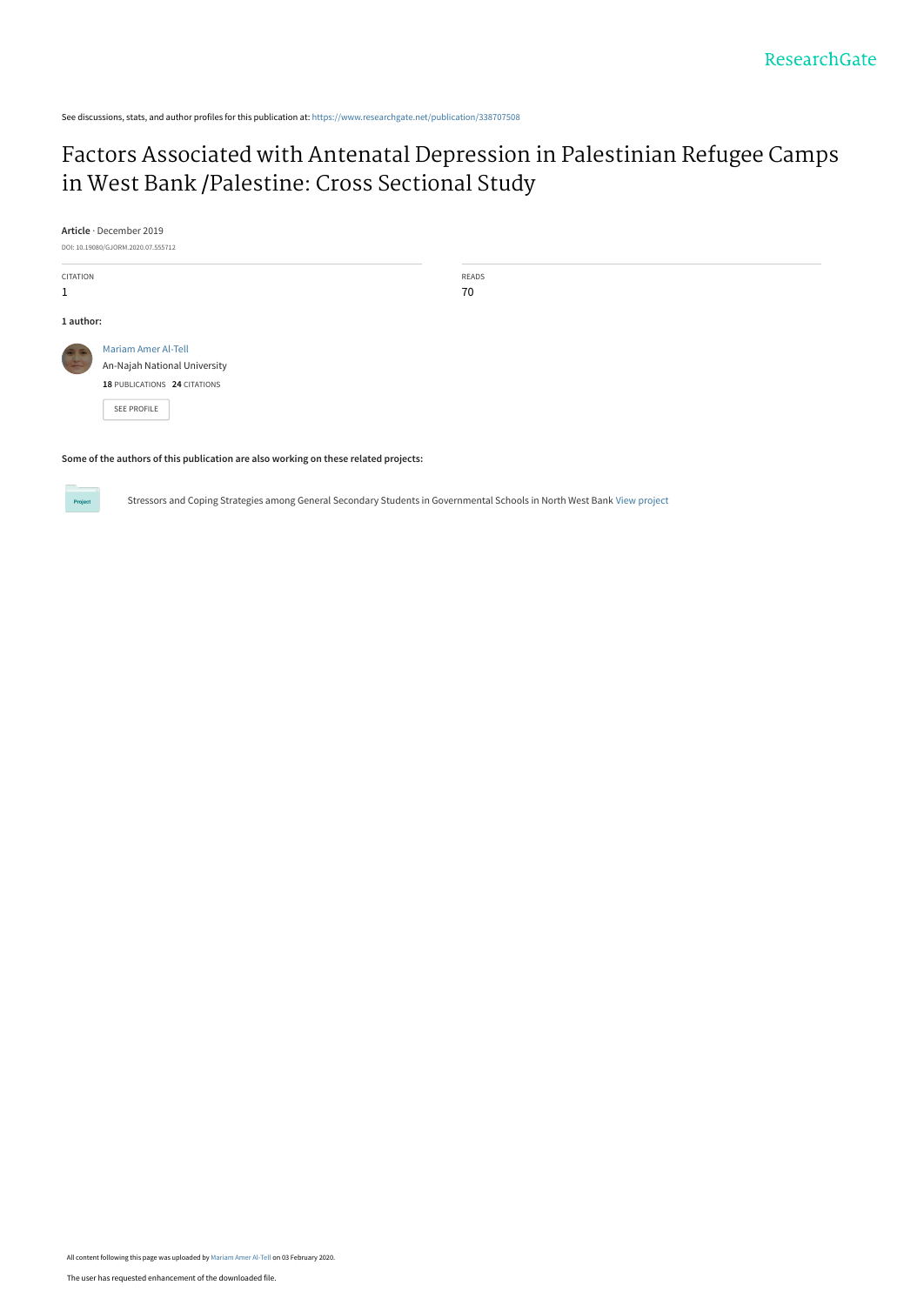See discussions, stats, and author profiles for this publication at: [https://www.researchgate.net/publication/338707508](https://www.researchgate.net/publication/338707508_Factors_Associated_with_Antenatal_Depression_in_Palestinian_Refugee_Camps_in_West_Bank_Palestine_Cross_Sectional_Study?enrichId=rgreq-12dc56513d5c1f55405b45fb962bfb1d-XXX&enrichSource=Y292ZXJQYWdlOzMzODcwNzUwODtBUzo4NTQ0MTYyMDI2ODIzNzFAMTU4MDcyMDEwNTkyNw%3D%3D&el=1_x_2&_esc=publicationCoverPdf)

# [Factors Associated with Antenatal Depression in Palestinian Refugee Camps](https://www.researchgate.net/publication/338707508_Factors_Associated_with_Antenatal_Depression_in_Palestinian_Refugee_Camps_in_West_Bank_Palestine_Cross_Sectional_Study?enrichId=rgreq-12dc56513d5c1f55405b45fb962bfb1d-XXX&enrichSource=Y292ZXJQYWdlOzMzODcwNzUwODtBUzo4NTQ0MTYyMDI2ODIzNzFAMTU4MDcyMDEwNTkyNw%3D%3D&el=1_x_3&_esc=publicationCoverPdf) in West Bank /Palestine: Cross Sectional Study

**Article** · December 2019 DOI: 10.19080/GJORM.2020.07.555712 CITATION 1 **1 author:** [Mariam Amer Al-Tell](https://www.researchgate.net/profile/Mariam-Al-Tell?enrichId=rgreq-12dc56513d5c1f55405b45fb962bfb1d-XXX&enrichSource=Y292ZXJQYWdlOzMzODcwNzUwODtBUzo4NTQ0MTYyMDI2ODIzNzFAMTU4MDcyMDEwNTkyNw%3D%3D&el=1_x_5&_esc=publicationCoverPdf) [An-Najah National University](https://www.researchgate.net/institution/An-Najah-National-University?enrichId=rgreq-12dc56513d5c1f55405b45fb962bfb1d-XXX&enrichSource=Y292ZXJQYWdlOzMzODcwNzUwODtBUzo4NTQ0MTYyMDI2ODIzNzFAMTU4MDcyMDEwNTkyNw%3D%3D&el=1_x_6&_esc=publicationCoverPdf) **18** PUBLICATIONS **24** CITATIONS

[SEE PROFILE](https://www.researchgate.net/profile/Mariam-Al-Tell?enrichId=rgreq-12dc56513d5c1f55405b45fb962bfb1d-XXX&enrichSource=Y292ZXJQYWdlOzMzODcwNzUwODtBUzo4NTQ0MTYyMDI2ODIzNzFAMTU4MDcyMDEwNTkyNw%3D%3D&el=1_x_7&_esc=publicationCoverPdf)

Project

READS 70

**Some of the authors of this publication are also working on these related projects:**

Stressors and Coping Strategies among General Secondary Students in Governmental Schools in North West Bank [View project](https://www.researchgate.net/project/Stressors-and-Coping-Strategies-among-General-Secondary-Students-in-Governmental-Schools-in-North-West-Bank?enrichId=rgreq-12dc56513d5c1f55405b45fb962bfb1d-XXX&enrichSource=Y292ZXJQYWdlOzMzODcwNzUwODtBUzo4NTQ0MTYyMDI2ODIzNzFAMTU4MDcyMDEwNTkyNw%3D%3D&el=1_x_9&_esc=publicationCoverPdf)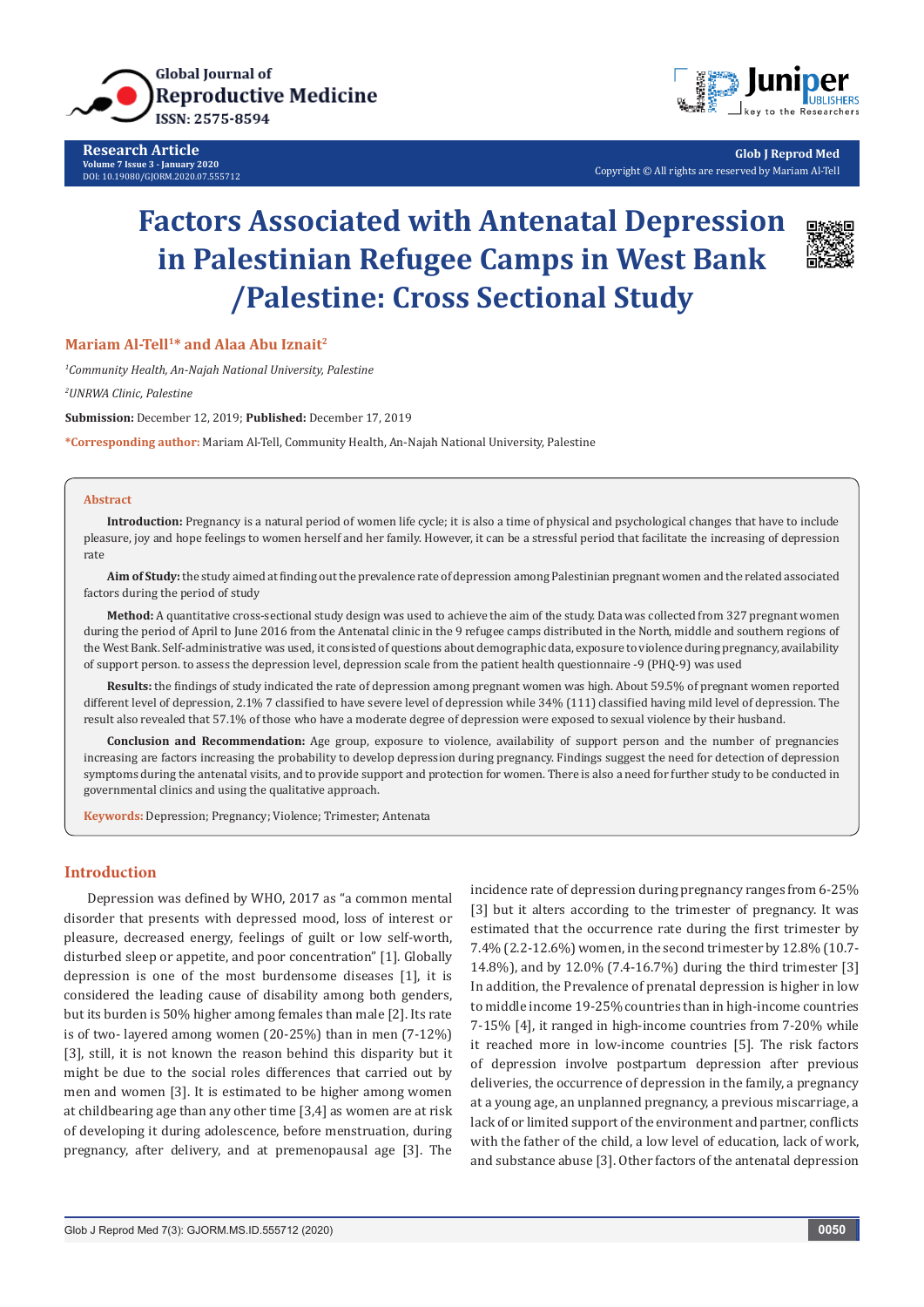

**Research Article Volume 7 Issue 3 - January 2020** DOI: [10.19080/GJORM.2020.07.555712](http://dx.doi.org/10.19080/GJORM.2020.07.555712)



**Glob J Reprod Med** Copyright © All rights are reserved by Mariam Al-Tell

# **Factors Associated with Antenatal Depression in Palestinian Refugee Camps in West Bank /Palestine: Cross Sectional Study**



#### **Mariam Al-Tell1\* and Alaa Abu Iznait2**

*1 Community Health, An-Najah National University, Palestine*

*2 UNRWA Clinic, Palestine*

**Submission:** December 12, 2019; **Published:** December 17, 2019

**\*Corresponding author:** Mariam Al-Tell, Community Health, An-Najah National University, Palestine

#### **Abstract**

**Introduction:** Pregnancy is a natural period of women life cycle; it is also a time of physical and psychological changes that have to include pleasure, joy and hope feelings to women herself and her family. However, it can be a stressful period that facilitate the increasing of depression rate

**Aim of Study:** the study aimed at finding out the prevalence rate of depression among Palestinian pregnant women and the related associated factors during the period of study

**Method:** A quantitative cross-sectional study design was used to achieve the aim of the study. Data was collected from 327 pregnant women during the period of April to June 2016 from the Antenatal clinic in the 9 refugee camps distributed in the North, middle and southern regions of the West Bank. Self-administrative was used, it consisted of questions about demographic data, exposure to violence during pregnancy, availability of support person. to assess the depression level, depression scale from the patient health questionnaire -9 (PHQ-9) was used

**Results:** the findings of study indicated the rate of depression among pregnant women was high. About 59.5% of pregnant women reported different level of depression, 2.1% 7 classified to have severe level of depression while 34% (111) classified having mild level of depression. The result also revealed that 57.1% of those who have a moderate degree of depression were exposed to sexual violence by their husband.

**Conclusion and Recommendation:** Age group, exposure to violence, availability of support person and the number of pregnancies increasing are factors increasing the probability to develop depression during pregnancy. Findings suggest the need for detection of depression symptoms during the antenatal visits, and to provide support and protection for women. There is also a need for further study to be conducted in governmental clinics and using the qualitative approach.

**Keywords:** Depression; Pregnancy; Violence; Trimester; Antenata

## **Introduction**

Depression was defined by WHO, 2017 as "a common mental disorder that presents with depressed mood, loss of interest or pleasure, decreased energy, feelings of guilt or low self-worth, disturbed sleep or appetite, and poor concentration" [1]. Globally depression is one of the most burdensome diseases [1], it is considered the leading cause of disability among both genders, but its burden is 50% higher among females than male [2]. Its rate is of two- layered among women (20-25%) than in men (7-12%) [3], still, it is not known the reason behind this disparity but it might be due to the social roles differences that carried out by men and women [3]. It is estimated to be higher among women at childbearing age than any other time [3,4] as women are at risk of developing it during adolescence, before menstruation, during pregnancy, after delivery, and at premenopausal age [3]. The incidence rate of depression during pregnancy ranges from 6-25% [3] but it alters according to the trimester of pregnancy. It was estimated that the occurrence rate during the first trimester by 7.4% (2.2-12.6%) women, in the second trimester by 12.8% (10.7- 14.8%), and by 12.0% (7.4-16.7%) during the third trimester [3] In addition, the Prevalence of prenatal depression is higher in low to middle income 19-25% countries than in high-income countries 7-15% [4], it ranged in high-income countries from 7-20% while it reached more in low-income countries [5]. The risk factors of depression involve postpartum depression after previous deliveries, the occurrence of depression in the family, a pregnancy at a young age, an unplanned pregnancy, a previous miscarriage, a lack of or limited support of the environment and partner, conflicts with the father of the child, a low level of education, lack of work, and substance abuse [3]. Other factors of the antenatal depression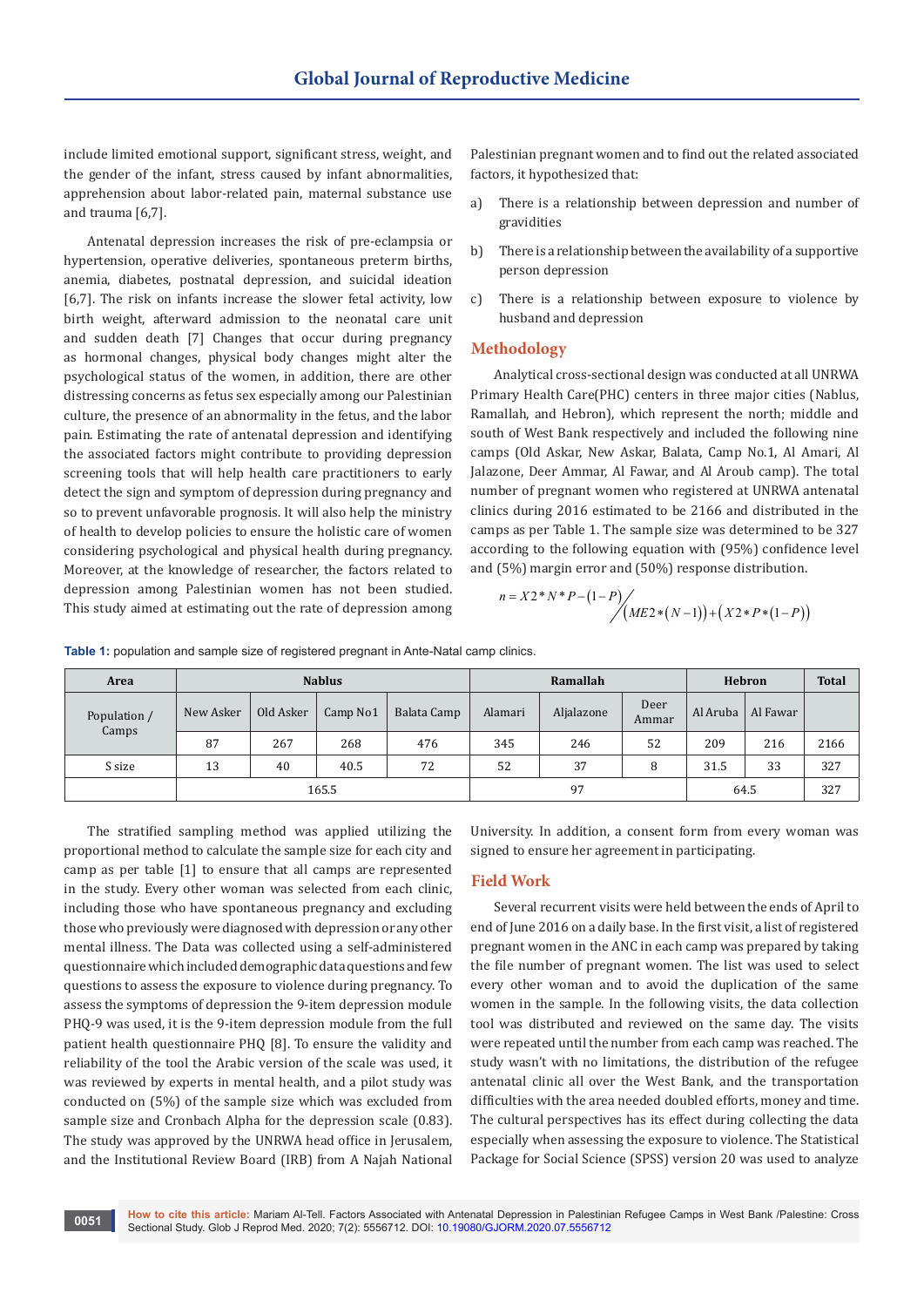include limited emotional support, significant stress, weight, and the gender of the infant, stress caused by infant abnormalities, apprehension about labor-related pain, maternal substance use and trauma [6,7].

Antenatal depression increases the risk of pre-eclampsia or hypertension, operative deliveries, spontaneous preterm births, anemia, diabetes, postnatal depression, and suicidal ideation [6,7]. The risk on infants increase the slower fetal activity, low birth weight, afterward admission to the neonatal care unit and sudden death [7] Changes that occur during pregnancy as hormonal changes, physical body changes might alter the psychological status of the women, in addition, there are other distressing concerns as fetus sex especially among our Palestinian culture, the presence of an abnormality in the fetus, and the labor pain. Estimating the rate of antenatal depression and identifying the associated factors might contribute to providing depression screening tools that will help health care practitioners to early detect the sign and symptom of depression during pregnancy and so to prevent unfavorable prognosis. It will also help the ministry of health to develop policies to ensure the holistic care of women considering psychological and physical health during pregnancy. Moreover, at the knowledge of researcher, the factors related to depression among Palestinian women has not been studied. This study aimed at estimating out the rate of depression among

Palestinian pregnant women and to find out the related associated factors, it hypothesized that:

- a) There is a relationship between depression and number of gravidities
- b) There is a relationship between the availability of a supportive person depression
- c) There is a relationship between exposure to violence by husband and depression

# **Methodology**

Analytical cross-sectional design was conducted at all UNRWA Primary Health Care(PHC) centers in three major cities (Nablus, Ramallah, and Hebron), which represent the north; middle and south of West Bank respectively and included the following nine camps (Old Askar, New Askar, Balata, Camp No.1, Al Amari, Al Jalazone, Deer Ammar, Al Fawar, and Al Aroub camp). The total number of pregnant women who registered at UNRWA antenatal clinics during 2016 estimated to be 2166 and distributed in the camps as per Table 1. The sample size was determined to be 327 according to the following equation with (95%) confidence level and (5%) margin error and (50%) response distribution.

$$
n = X2*N*P-(1-P)/(ME2*(N-1)) + (X2*P*(1-P))
$$

**Table 1:** population and sample size of registered pregnant in Ante-Natal camp clinics.

| Area         |           |           | <b>Nablus</b> |             |          | Ramallah   | Hebron        | <b>Total</b> |          |      |
|--------------|-----------|-----------|---------------|-------------|----------|------------|---------------|--------------|----------|------|
| Population / | New Asker | Old Asker | Camp No1      | Balata Camp | Alamari  | Aljalazone | Deer<br>Ammar | Al Aruba     | Al Fawar |      |
| Camps        | 267<br>87 |           | 268           | 476         | 345      | 246        | 52            | 209          | 216      | 2166 |
| S size       | 13        | 40        | 40.5          | 72          | 52<br>37 |            | 8             | 31.5         | 33       | 327  |
|              |           |           | 165.5         |             |          | 97         |               | 64.5         | 327      |      |

The stratified sampling method was applied utilizing the proportional method to calculate the sample size for each city and camp as per table [1] to ensure that all camps are represented in the study. Every other woman was selected from each clinic, including those who have spontaneous pregnancy and excluding those who previously were diagnosed with depression or any other mental illness. The Data was collected using a self-administered questionnaire which included demographic data questions and few questions to assess the exposure to violence during pregnancy. To assess the symptoms of depression the 9-item depression module PHQ-9 was used, it is the 9-item depression module from the full patient health questionnaire PHQ [8]. To ensure the validity and reliability of the tool the Arabic version of the scale was used, it was reviewed by experts in mental health, and a pilot study was conducted on (5%) of the sample size which was excluded from sample size and Cronbach Alpha for the depression scale (0.83). The study was approved by the UNRWA head office in Jerusalem, and the Institutional Review Board (IRB) from A Najah National

University. In addition, a consent form from every woman was signed to ensure her agreement in participating.

#### **Field Work**

Several recurrent visits were held between the ends of April to end of June 2016 on a daily base. In the first visit, a list of registered pregnant women in the ANC in each camp was prepared by taking the file number of pregnant women. The list was used to select every other woman and to avoid the duplication of the same women in the sample. In the following visits, the data collection tool was distributed and reviewed on the same day. The visits were repeated until the number from each camp was reached. The study wasn't with no limitations, the distribution of the refugee antenatal clinic all over the West Bank, and the transportation difficulties with the area needed doubled efforts, money and time. The cultural perspectives has its effect during collecting the data especially when assessing the exposure to violence. The Statistical Package for Social Science (SPSS) version 20 was used to analyze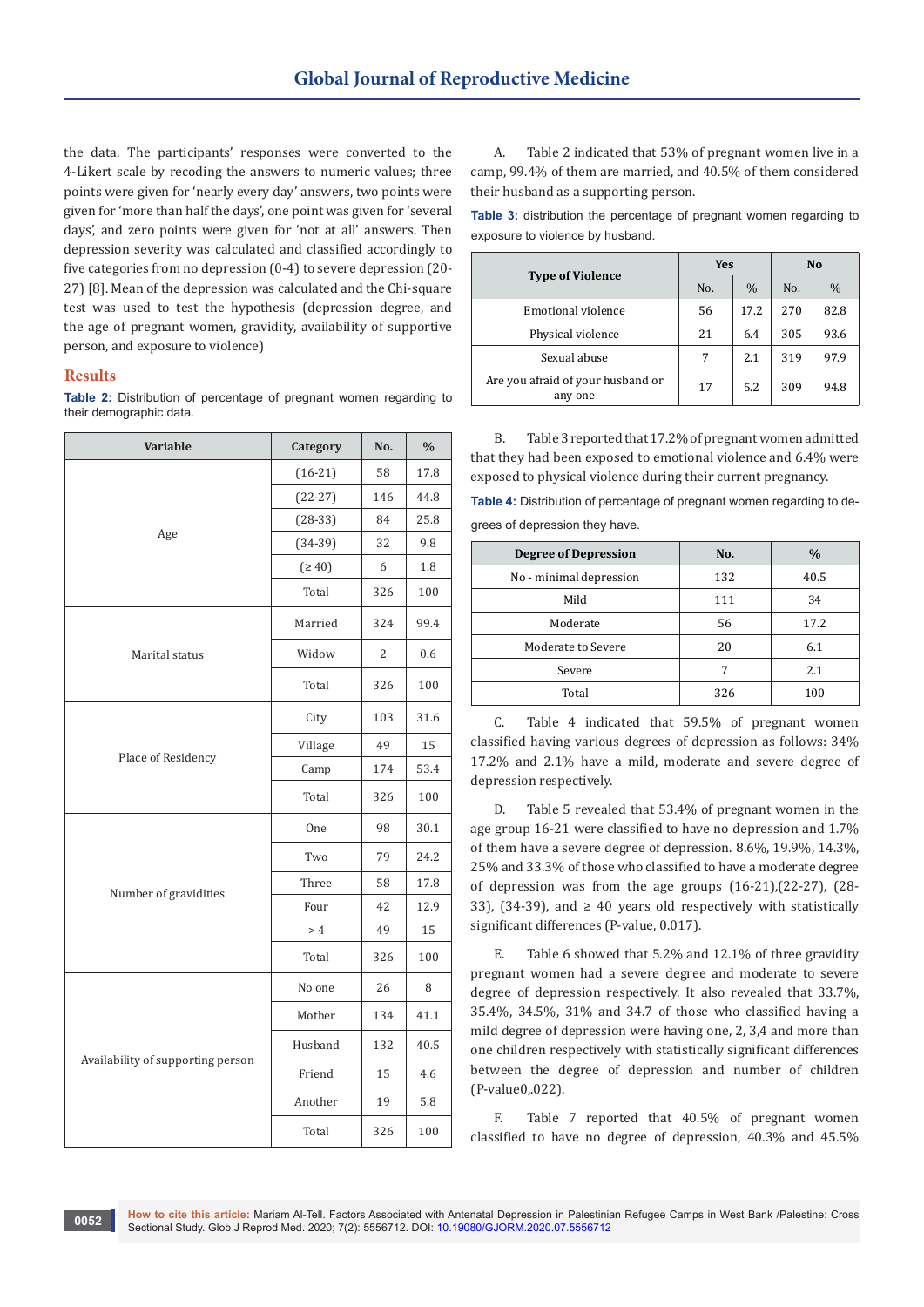the data. The participants' responses were converted to the 4-Likert scale by recoding the answers to numeric values; three points were given for 'nearly every day' answers, two points were given for 'more than half the days', one point was given for 'several days', and zero points were given for 'not at all' answers. Then depression severity was calculated and classified accordingly to five categories from no depression (0-4) to severe depression (20- 27) [8]. Mean of the depression was calculated and the Chi-square test was used to test the hypothesis (depression degree, and the age of pregnant women, gravidity, availability of supportive person, and exposure to violence)

#### **Results**

**Table 2:** Distribution of percentage of pregnant women regarding to their demographic data.

| Variable                          | Category  | No. | $\frac{0}{0}$ |
|-----------------------------------|-----------|-----|---------------|
|                                   | $(16-21)$ | 58  | 17.8          |
|                                   | $(22-27)$ | 146 | 44.8          |
|                                   | $(28-33)$ | 84  | 25.8          |
| Age                               | $(34-39)$ | 32  | 9.8           |
|                                   | (≥ 40)    | 6   | 1.8           |
|                                   | Total     | 326 | 100           |
|                                   | Married   | 324 | 99.4          |
| Marital status                    | Widow     | 2   | 0.6           |
|                                   | Total     | 326 | 100           |
|                                   | City      | 103 | 31.6          |
|                                   | Village   | 49  | 15            |
| Place of Residency                | Camp      | 174 | 53.4          |
|                                   | Total     | 326 | 100           |
|                                   | One       | 98  | 30.1          |
|                                   | Two       | 79  | 24.2          |
| Number of gravidities             | Three     | 58  | 17.8          |
|                                   | Four      | 42  | 12.9          |
|                                   | >4        | 49  | 15            |
|                                   | Total     | 326 | 100           |
|                                   | No one    | 26  | 8             |
|                                   | Mother    | 134 | 41.1          |
|                                   | Husband   | 132 | 40.5          |
| Availability of supporting person | Friend    | 15  | 4.6           |
|                                   | Another   | 19  | 5.8           |
|                                   | Total     | 326 | 100           |

A. Table 2 indicated that 53% of pregnant women live in a camp, 99.4% of them are married, and 40.5% of them considered their husband as a supporting person.

**Table 3:** distribution the percentage of pregnant women regarding to exposure to violence by husband.

|                                              | <b>Yes</b> |               | N <sub>0</sub> |      |  |  |
|----------------------------------------------|------------|---------------|----------------|------|--|--|
| <b>Type of Violence</b>                      | No.        | $\frac{0}{0}$ | No.            | $\%$ |  |  |
| <b>Emotional violence</b>                    | 56         | 17.2          | 270            | 82.8 |  |  |
| Physical violence                            | 21         | 6.4           | 305            | 93.6 |  |  |
| Sexual abuse                                 | 7          | 2.1           | 319            | 97.9 |  |  |
| Are you afraid of your husband or<br>any one | 17         | 5.2           | 309            | 94.8 |  |  |

B. Table 3 reported that 17.2% of pregnant women admitted that they had been exposed to emotional violence and 6.4% were exposed to physical violence during their current pregnancy.

**Table 4:** Distribution of percentage of pregnant women regarding to degrees of depression they have.

| <b>Degree of Depression</b> | No. | $\frac{0}{0}$ |  |  |
|-----------------------------|-----|---------------|--|--|
| No - minimal depression     | 132 | 40.5          |  |  |
| Mild                        | 111 | 34            |  |  |
| Moderate                    | 56  | 17.2          |  |  |
| Moderate to Severe          | 20  | 6.1           |  |  |
| Severe                      |     | 2.1           |  |  |
| Total                       | 326 | 100           |  |  |

C. Table 4 indicated that 59.5% of pregnant women classified having various degrees of depression as follows: 34% 17.2% and 2.1% have a mild, moderate and severe degree of depression respectively.

D. Table 5 revealed that 53.4% of pregnant women in the age group 16-21 were classified to have no depression and 1.7% of them have a severe degree of depression. 8.6%, 19.9%, 14.3%, 25% and 33.3% of those who classified to have a moderate degree of depression was from the age groups (16-21),(22-27), (28- 33), (34-39), and  $\geq$  40 years old respectively with statistically significant differences (P-value, 0.017).

E. Table 6 showed that 5.2% and 12.1% of three gravidity pregnant women had a severe degree and moderate to severe degree of depression respectively. It also revealed that 33.7%, 35.4%, 34.5%, 31% and 34.7 of those who classified having a mild degree of depression were having one, 2, 3,4 and more than one children respectively with statistically significant differences between the degree of depression and number of children (P-value0,.022).

F. Table 7 reported that 40.5% of pregnant women classified to have no degree of depression, 40.3% and 45.5%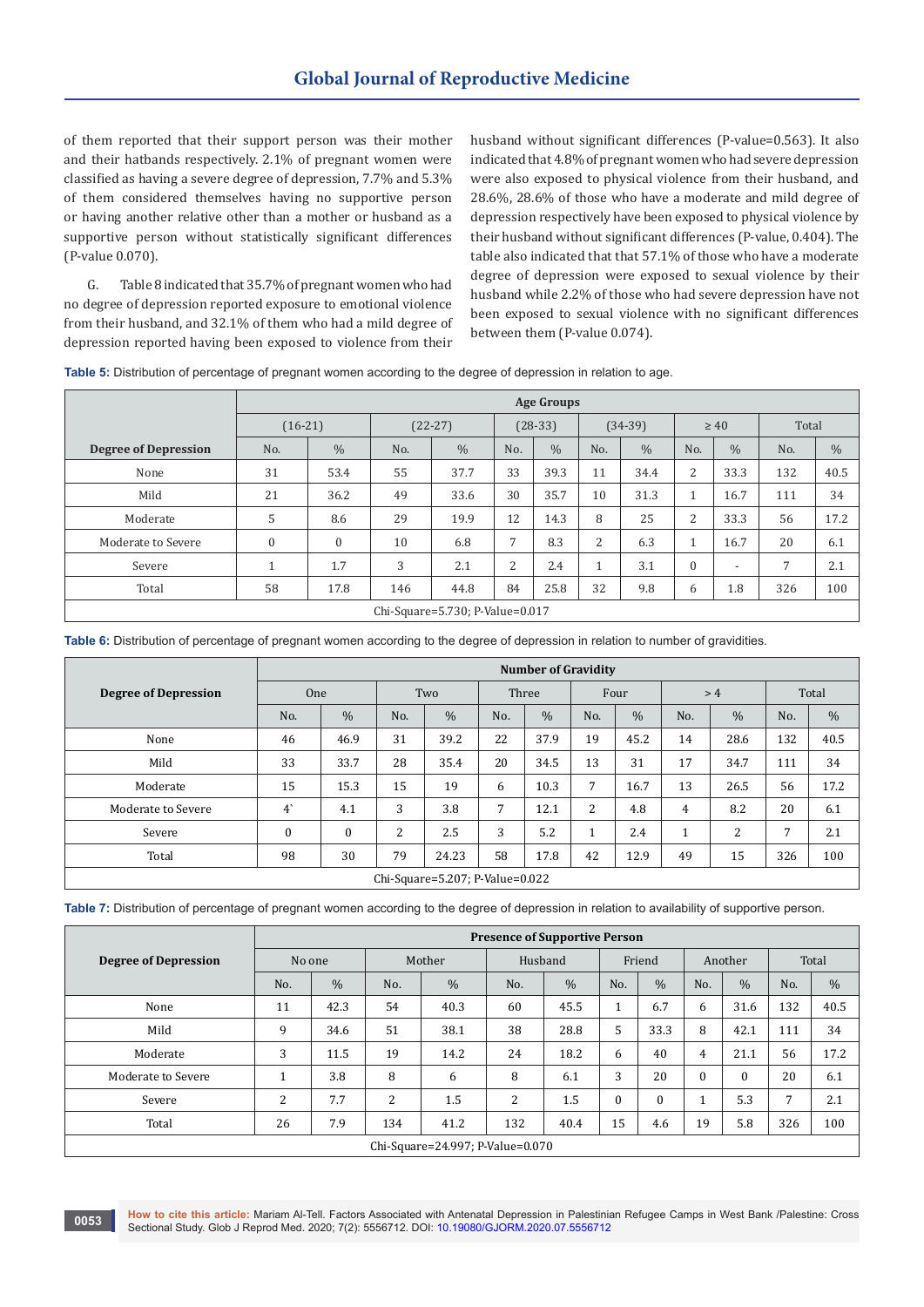of them reported that their support person was their mother and their hatbands respectively. 2.1% of pregnant women were classified as having a severe degree of depression, 7.7% and 5.3% of them considered themselves having no supportive person or having another relative other than a mother or husband as a supportive person without statistically significant differences (P-value 0.070).

G. Table 8 indicated that 35.7% of pregnant women who had no degree of depression reported exposure to emotional violence from their husband, and 32.1% of them who had a mild degree of depression reported having been exposed to violence from their

husband without significant differences (P-value=0.563). It also indicated that 4.8% of pregnant women who had severe depression were also exposed to physical violence from their husband, and 28.6%, 28.6% of those who have a moderate and mild degree of depression respectively have been exposed to physical violence by their husband without significant differences (P-value, 0.404). The table also indicated that that 57.1% of those who have a moderate degree of depression were exposed to sexual violence by their husband while 2.2% of those who had severe depression have not been exposed to sexual violence with no significant differences between them (P-value 0.074).

**Table 5:** Distribution of percentage of pregnant women according to the degree of depression in relation to age.

|                             |              | <b>Age Groups</b> |           |                                 |           |               |              |               |                |                          |       |               |  |
|-----------------------------|--------------|-------------------|-----------|---------------------------------|-----------|---------------|--------------|---------------|----------------|--------------------------|-------|---------------|--|
|                             | $(16-21)$    |                   | $(22-27)$ |                                 | $(28-33)$ |               | $(34-39)$    |               | $\geq 40$      |                          | Total |               |  |
| <b>Degree of Depression</b> | No.          | $\frac{0}{0}$     | No.       | $\frac{0}{0}$                   | No.       | $\frac{0}{0}$ | No.          | $\frac{0}{0}$ | No.            | $\frac{0}{0}$            | No.   | $\frac{0}{0}$ |  |
| None                        | 31           | 53.4              | 55        | 37.7                            | 33        | 39.3          | 11           | 34.4          | $\overline{2}$ | 33.3                     | 132   | 40.5          |  |
| Mild                        | 21           | 36.2              | 49        | 33.6                            | 30        | 35.7          | 10           | 31.3          |                | 16.7                     | 111   | 34            |  |
| Moderate                    | 5            | 8.6               | 29        | 19.9                            | 12        | 14.3          | 8            | 25            | $\overline{c}$ | 33.3                     | 56    | 17.2          |  |
| Moderate to Severe          | $\mathbf{0}$ | $\Omega$          | 10        | 6.8                             | 7         | 8.3           | 2            | 6.3           |                | 16.7                     | 20    | 6.1           |  |
| Severe                      | м            | 1.7               | 3         | 2.1                             | 2         | 2.4           | $\mathbf{1}$ | 3.1           | $\Omega$       | $\overline{\phantom{0}}$ | 7     | 2.1           |  |
| Total                       | 58           | 17.8              | 146       | 44.8                            | 84        | 25.8          | 32           | 9.8           | 6              | 1.8                      | 326   | 100           |  |
|                             |              |                   |           | Chi-Square=5.730; P-Value=0.017 |           |               |              |               |                |                          |       |               |  |

**Table 6:** Distribution of percentage of pregnant women according to the degree of depression in relation to number of gravidities.

|                             | <b>Number of Gravidity</b> |               |                |                                 |       |               |        |               |              |               |                |      |  |
|-----------------------------|----------------------------|---------------|----------------|---------------------------------|-------|---------------|--------|---------------|--------------|---------------|----------------|------|--|
| <b>Degree of Depression</b> | <b>One</b>                 |               | Two            |                                 | Three |               | Four   |               | >4           |               | Total          |      |  |
|                             | No.                        | $\frac{0}{0}$ | No.            | $\frac{0}{0}$                   | No.   | $\frac{0}{0}$ | No.    | $\frac{0}{0}$ | No.          | $\frac{0}{0}$ | No.            | $\%$ |  |
| None                        | 46                         | 46.9          | 31             | 39.2                            | 22    | 37.9          | 19     | 45.2          | 14           | 28.6          | 132            | 40.5 |  |
| Mild                        | 33                         | 33.7          | 28             | 35.4                            | 20    | 34.5          | 13     | 31            | 17           | 34.7          | 111            | 34   |  |
| Moderate                    | 15                         | 15.3          | 15             | 19                              | 6     | 10.3          | 7      | 16.7          | 13           | 26.5          | 56             | 17.2 |  |
| Moderate to Severe          | $4^{\circ}$                | 4.1           | 3              | 3.8                             | 7     | 12.1          | 2      | 4.8           | 4            | 8.2           | 20             | 6.1  |  |
| Severe                      | 0                          | $\mathbf{0}$  | $\overline{2}$ | 2.5                             | 3     | 5.2           | 1<br>T | 2.4           | $\mathbf{1}$ | 2             | $\overline{7}$ | 2.1  |  |
| Total                       | 98                         | 30            | 79             | 24.23                           | 58    | 17.8          | 42     | 12.9          | 49           | 15            | 326            | 100  |  |
|                             |                            |               |                | Chi-Square=5.207; P-Value=0.022 |       |               |        |               |              |               |                |      |  |

**Table 7:** Distribution of percentage of pregnant women according to the degree of depression in relation to availability of supportive person.

|                             | <b>Presence of Supportive Person</b> |               |        |                                  |         |               |         |          |                |          |       |               |  |
|-----------------------------|--------------------------------------|---------------|--------|----------------------------------|---------|---------------|---------|----------|----------------|----------|-------|---------------|--|
| <b>Degree of Depression</b> | No one                               |               | Mother |                                  | Husband |               | Friend  |          | Another        |          | Total |               |  |
|                             | No.                                  | $\frac{0}{0}$ | No.    | $\frac{0}{0}$                    | No.     | $\frac{0}{6}$ | No.     | $\%$     | No.            | $\%$     | No.   | $\frac{0}{0}$ |  |
| None                        | 11                                   | 42.3          | 54     | 40.3                             | 60      | 45.5          | 1<br>Ŧ. | 6.7      | 6              | 31.6     | 132   | 40.5          |  |
| Mild                        | 9                                    | 34.6          | 51     | 38.1                             | 38      | 28.8          | 5       | 33.3     | 8              | 42.1     | 111   | 34            |  |
| Moderate                    | 3                                    | 11.5          | 19     | 14.2                             | 24      | 18.2          | 6       | 40       | $\overline{4}$ | 21.1     | 56    | 17.2          |  |
| Moderate to Severe          | 1                                    | 3.8           | 8      | 6                                | 8       | 6.1           | 3       | 20       | $\bf{0}$       | $\theta$ | 20    | 6.1           |  |
| Severe                      | 2                                    | 7.7           | 2      | 1.5                              | 2       | 1.5           | 0       | $\bf{0}$ | 1              | 5.3      | 7     | 2.1           |  |
| Total                       | 26                                   | 7.9           | 134    | 41.2                             | 132     | 40.4          | 15      | 4.6      | 19             | 5.8      | 326   | 100           |  |
|                             |                                      |               |        | Chi-Square=24.997; P-Value=0.070 |         |               |         |          |                |          |       |               |  |

**How to cite this article:** Mariam Al-Tell. Factors Associated with Antenatal Depression in Palestinian Refugee Camps in West Bank /Palestine: Cross Sectional Study. Glob J Reprod Med. 2020; 7(2): 5556712. DOI: [10.19080/GJORM.2020.07.5556712](http://dx.doi.org/10.19080/GJORM.2020.07.555712) **<sup>0053</sup>**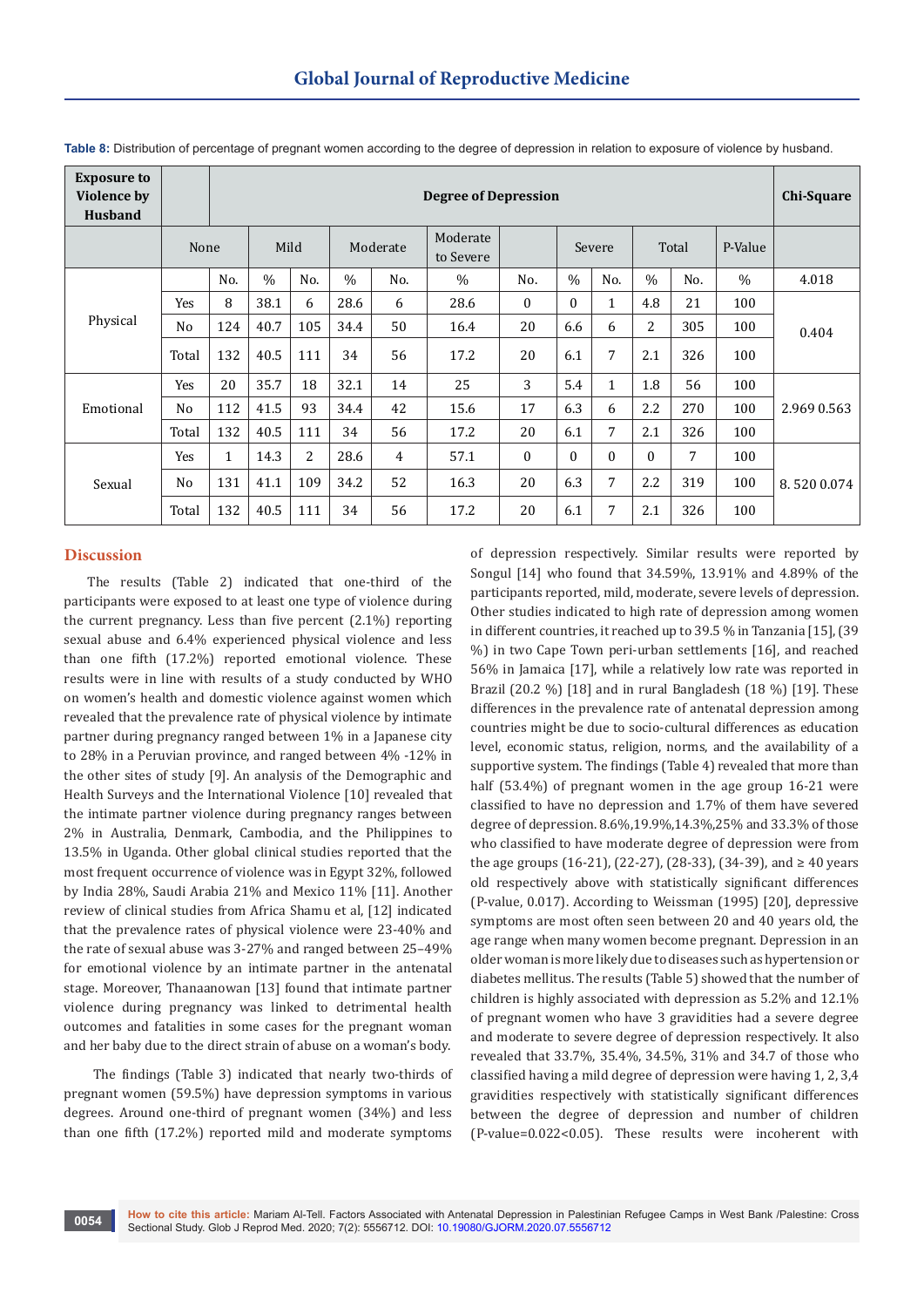| <b>Exposure to</b><br><b>Violence by</b><br><b>Husband</b> |       | <b>Degree of Depression</b> |               |                |               |                       |               |              |               |              |               |         |               | Chi-Square  |
|------------------------------------------------------------|-------|-----------------------------|---------------|----------------|---------------|-----------------------|---------------|--------------|---------------|--------------|---------------|---------|---------------|-------------|
|                                                            | None  | Mild                        |               | Moderate       |               | Moderate<br>to Severe |               | Severe       |               |              | Total         | P-Value |               |             |
|                                                            |       | No.                         | $\frac{0}{0}$ | No.            | $\frac{0}{0}$ | No.                   | $\frac{0}{0}$ | No.          | $\frac{0}{0}$ | No.          | $\frac{0}{0}$ | No.     | $\frac{0}{0}$ | 4.018       |
| Physical                                                   | Yes   | 8                           | 38.1          | 6              | 28.6          | 6                     | 28.6          | $\mathbf{0}$ | $\Omega$      | 1            | 4.8           | 21      | 100           |             |
|                                                            | No    | 124                         | 40.7          | 105            | 34.4          | 50                    | 16.4          | 20           | 6.6           | 6            | 2             | 305     | 100           | 0.404       |
|                                                            | Total | 132                         | 40.5          | 111            | 34            | 56                    | 17.2          | 20           | 6.1           | 7            | 2.1           | 326     | 100           |             |
|                                                            | Yes   | 20                          | 35.7          | 18             | 32.1          | 14                    | 25            | 3            | 5.4           | $\mathbf{1}$ | 1.8           | 56      | 100           |             |
| Emotional                                                  | No    | 112                         | 41.5          | 93             | 34.4          | 42                    | 15.6          | 17           | 6.3           | 6            | 2.2           | 270     | 100           | 2.969 0.563 |
|                                                            | Total | 132                         | 40.5          | 111            | 34            | 56                    | 17.2          | 20           | 6.1           | 7            | 2.1           | 326     | 100           |             |
| Sexual                                                     | Yes   | 1                           | 14.3          | $\overline{2}$ | 28.6          | 4                     | 57.1          | $\mathbf{0}$ | $\Omega$      | $\theta$     | $\Omega$      | 7       | 100           |             |
|                                                            | No    | 131                         | 41.1          | 109            | 34.2          | 52                    | 16.3          | 20           | 6.3           | 7            | 2.2           | 319     | 100           | 8.5200.074  |
|                                                            | Total | 132                         | 40.5          | 111            | 34            | 56                    | 17.2          | 20           | 6.1           | 7            | 2.1           | 326     | 100           |             |

**Table 8:** Distribution of percentage of pregnant women according to the degree of depression in relation to exposure of violence by husband.

### **Discussion**

The results (Table 2) indicated that one-third of the participants were exposed to at least one type of violence during the current pregnancy. Less than five percent (2.1%) reporting sexual abuse and 6.4% experienced physical violence and less than one fifth (17.2%) reported emotional violence. These results were in line with results of a study conducted by WHO on women's health and domestic violence against women which revealed that the prevalence rate of physical violence by intimate partner during pregnancy ranged between 1% in a Japanese city to 28% in a Peruvian province, and ranged between 4% -12% in the other sites of study [9]. An analysis of the Demographic and Health Surveys and the International Violence [10] revealed that the intimate partner violence during pregnancy ranges between 2% in Australia, Denmark, Cambodia, and the Philippines to 13.5% in Uganda. Other global clinical studies reported that the most frequent occurrence of violence was in Egypt 32%, followed by India 28%, Saudi Arabia 21% and Mexico 11% [11]. Another review of clinical studies from Africa Shamu et al, [12] indicated that the prevalence rates of physical violence were 23-40% and the rate of sexual abuse was 3-27% and ranged between 25–49% for emotional violence by an intimate partner in the antenatal stage. Moreover, Thanaanowan [13] found that intimate partner violence during pregnancy was linked to detrimental health outcomes and fatalities in some cases for the pregnant woman and her baby due to the direct strain of abuse on a woman's body.

 The findings (Table 3) indicated that nearly two-thirds of pregnant women (59.5%) have depression symptoms in various degrees. Around one-third of pregnant women (34%) and less than one fifth (17.2%) reported mild and moderate symptoms

of depression respectively. Similar results were reported by Songul [14] who found that 34.59%, 13.91% and 4.89% of the participants reported, mild, moderate, severe levels of depression. Other studies indicated to high rate of depression among women in different countries, it reached up to 39.5 % in Tanzania [15], (39 %) in two Cape Town peri-urban settlements [16], and reached 56% in Jamaica [17], while a relatively low rate was reported in Brazil (20.2 %) [18] and in rural Bangladesh (18 %) [19]. These differences in the prevalence rate of antenatal depression among countries might be due to socio-cultural differences as education level, economic status, religion, norms, and the availability of a supportive system. The findings (Table 4) revealed that more than half (53.4%) of pregnant women in the age group 16-21 were classified to have no depression and 1.7% of them have severed degree of depression. 8.6%,19.9%,14.3%,25% and 33.3% of those who classified to have moderate degree of depression were from the age groups (16-21), (22-27), (28-33), (34-39), and ≥ 40 years old respectively above with statistically significant differences (P-value, 0.017). According to Weissman (1995) [20], depressive symptoms are most often seen between 20 and 40 years old, the age range when many women become pregnant. Depression in an older woman is more likely due to diseases such as hypertension or diabetes mellitus. The results (Table 5) showed that the number of children is highly associated with depression as 5.2% and 12.1% of pregnant women who have 3 gravidities had a severe degree and moderate to severe degree of depression respectively. It also revealed that 33.7%, 35.4%, 34.5%, 31% and 34.7 of those who classified having a mild degree of depression were having 1, 2, 3,4 gravidities respectively with statistically significant differences between the degree of depression and number of children (P-value=0.022<0.05). These results were incoherent with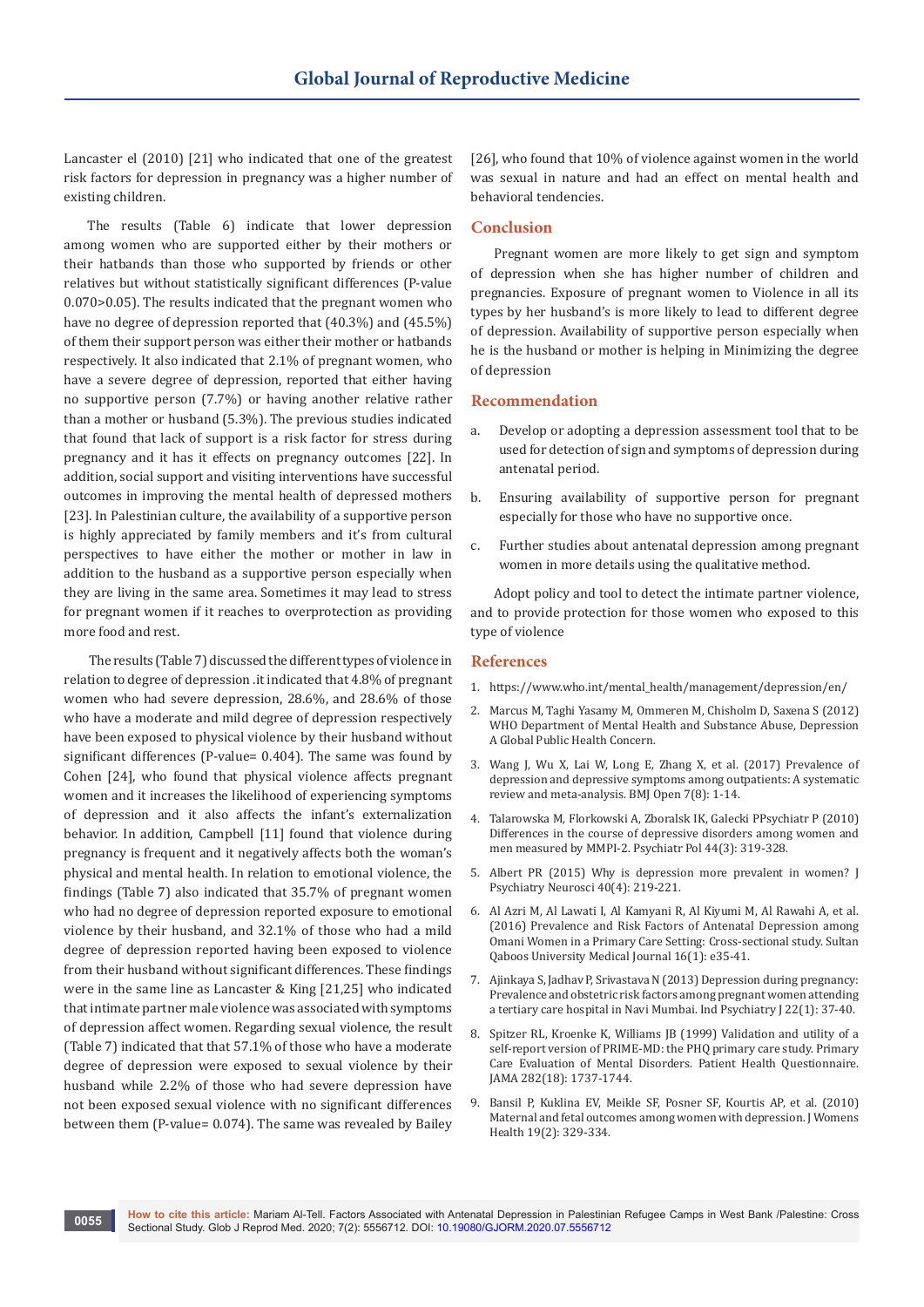Lancaster el (2010) [21] who indicated that one of the greatest risk factors for depression in pregnancy was a higher number of existing children.

The results (Table 6) indicate that lower depression among women who are supported either by their mothers or their hatbands than those who supported by friends or other relatives but without statistically significant differences (P-value 0.070>0.05). The results indicated that the pregnant women who have no degree of depression reported that (40.3%) and (45.5%) of them their support person was either their mother or hatbands respectively. It also indicated that 2.1% of pregnant women, who have a severe degree of depression, reported that either having no supportive person (7.7%) or having another relative rather than a mother or husband (5.3%). The previous studies indicated that found that lack of support is a risk factor for stress during pregnancy and it has it effects on pregnancy outcomes [22]. In addition, social support and visiting interventions have successful outcomes in improving the mental health of depressed mothers [23]. In Palestinian culture, the availability of a supportive person is highly appreciated by family members and it's from cultural perspectives to have either the mother or mother in law in addition to the husband as a supportive person especially when they are living in the same area. Sometimes it may lead to stress for pregnant women if it reaches to overprotection as providing more food and rest.

 The results (Table 7) discussed the different types of violence in relation to degree of depression .it indicated that 4.8% of pregnant women who had severe depression, 28.6%, and 28.6% of those who have a moderate and mild degree of depression respectively have been exposed to physical violence by their husband without significant differences (P-value= 0.404). The same was found by Cohen [24], who found that physical violence affects pregnant women and it increases the likelihood of experiencing symptoms of depression and it also affects the infant's externalization behavior. In addition, Campbell [11] found that violence during pregnancy is frequent and it negatively affects both the woman's physical and mental health. In relation to emotional violence, the findings (Table 7) also indicated that 35.7% of pregnant women who had no degree of depression reported exposure to emotional violence by their husband, and 32.1% of those who had a mild degree of depression reported having been exposed to violence from their husband without significant differences. These findings were in the same line as Lancaster & King [21,25] who indicated that intimate partner male violence was associated with symptoms of depression affect women. Regarding sexual violence, the result (Table 7) indicated that that 57.1% of those who have a moderate degree of depression were exposed to sexual violence by their husband while 2.2% of those who had severe depression have not been exposed sexual violence with no significant differences between them (P-value= 0.074). The same was revealed by Bailey

[26], who found that 10% of violence against women in the world was sexual in nature and had an effect on mental health and behavioral tendencies.

#### **Conclusion**

Pregnant women are more likely to get sign and symptom of depression when she has higher number of children and pregnancies. Exposure of pregnant women to Violence in all its types by her husband's is more likely to lead to different degree of depression. Availability of supportive person especially when he is the husband or mother is helping in Minimizing the degree of depression

#### **Recommendation**

- a. Develop or adopting a depression assessment tool that to be used for detection of sign and symptoms of depression during antenatal period.
- b. Ensuring availability of supportive person for pregnant especially for those who have no supportive once.
- c. Further studies about antenatal depression among pregnant women in more details using the qualitative method.

Adopt policy and tool to detect the intimate partner violence, and to provide protection for those women who exposed to this type of violence

#### **References**

- 1. https://www.who.int/mental\_health/management/depression/en/
- 2. Marcus M, Taghi Yasamy M, Ommeren M, Chisholm D, Saxena S (2012) WHO Department of Mental Health and Substance Abuse, Depression A Global Public Health Concern.
- 3. Wang J, Wu X, Lai W, Long E, Zhang X, et al. (2017) Prevalence of depression and depressive symptoms among outpatients: A systematic review and meta-analysis. BMJ Open 7(8): 1-14.
- 4. Talarowska M, Florkowski A, Zboralsk IK, Galecki PPsychiatr P (2010) Differences in the course of depressive disorders among women and men measured by MMPI-2. Psychiatr Pol 44(3): 319-328.
- 5. Albert PR (2015) Why is depression more prevalent in women? J Psychiatry Neurosci 40(4): 219-221.
- 6. Al Azri M, Al Lawati I, Al Kamyani R, Al Kiyumi M, Al Rawahi A, et al. (2016) Prevalence and Risk Factors of Antenatal Depression among Omani Women in a Primary Care Setting: Cross-sectional study. Sultan Qaboos University Medical Journal 16(1): e35-41.
- 7. Ajinkaya S, Jadhav P, Srivastava N (2013) Depression during pregnancy: Prevalence and obstetric risk factors among pregnant women attending a tertiary care hospital in Navi Mumbai. Ind Psychiatry J 22(1): 37-40.
- 8. Spitzer RL, Kroenke K, Williams JB (1999) Validation and utility of a self-report version of PRIME-MD: the PHQ primary care study. Primary Care Evaluation of Mental Disorders. Patient Health Questionnaire. JAMA 282(18): 1737-1744.
- 9. Bansil P, Kuklina EV, Meikle SF, Posner SF, Kourtis AP, et al. (2010) Maternal and fetal outcomes among women with depression. J Womens Health 19(2): 329-334.